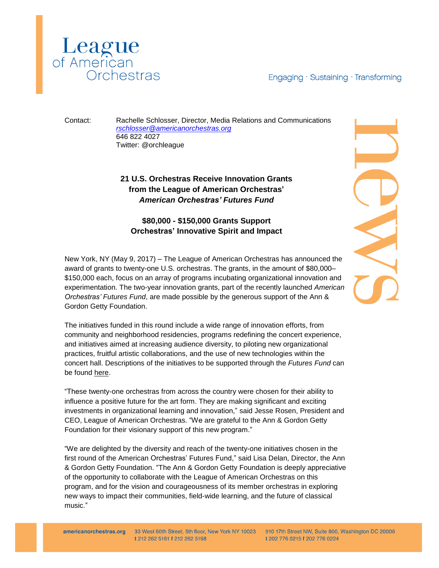

Engaging · Sustaining · Transforming

Contact: Rachelle Schlosser, Director, Media Relations and Communications *[rschlosser@americanorchestras.org](mailto:rschlosser@americanorchestras.org)* 646 822 4027 Twitter: @orchleague

## **21 U.S. Orchestras Receive Innovation Grants from the League of American Orchestras'** *American Orchestras' Futures Fund*

## **\$80,000 - \$150,000 Grants Support Orchestras' Innovative Spirit and Impact**

New York, NY (May 9, 2017) – The League of American Orchestras has announced the award of grants to twenty-one U.S. orchestras. The grants, in the amount of \$80,000– \$150,000 each, focus on an array of programs incubating organizational innovation and experimentation. The two-year innovation grants, part of the recently launched *American Orchestras' Futures Fund*, are made possible by the generous support of the Ann & Gordon Getty Foundation.

The initiatives funded in this round include a wide range of innovation efforts, from community and neighborhood residencies, programs redefining the concert experience, and initiatives aimed at increasing audience diversity, to piloting new organizational practices, fruitful artistic collaborations, and the use of new technologies within the concert hall. Descriptions of the initiatives to be supported through the *Futures Fund* can be found [here.](http://www.americanorchestras.org/images/stories/Futures_Fund_Grantee_Work_Summary.pdf)

"These twenty-one orchestras from across the country were chosen for their ability to influence a positive future for the art form. They are making significant and exciting investments in organizational learning and innovation," said Jesse Rosen, President and CEO, League of American Orchestras. "We are grateful to the Ann & Gordon Getty Foundation for their visionary support of this new program."

"We are delighted by the diversity and reach of the twenty-one initiatives chosen in the first round of the American Orchestras' Futures Fund," said Lisa Delan, Director, the Ann & Gordon Getty Foundation. "The Ann & Gordon Getty Foundation is deeply appreciative of the opportunity to collaborate with the League of American Orchestras on this program, and for the vision and courageousness of its member orchestras in exploring new ways to impact their communities, field-wide learning, and the future of classical music."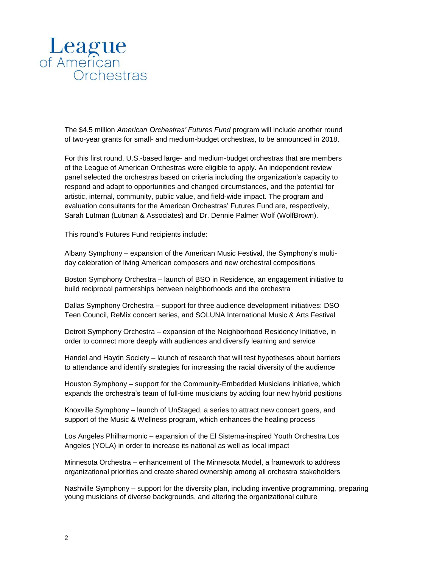

The \$4.5 million *American Orchestras' Futures Fund* program will include another round of two-year grants for small- and medium-budget orchestras, to be announced in 2018.

For this first round, U.S.-based large- and medium-budget orchestras that are members of the League of American Orchestras were eligible to apply. An independent review panel selected the orchestras based on criteria including the organization's capacity to respond and adapt to opportunities and changed circumstances, and the potential for artistic, internal, community, public value, and field-wide impact. The program and evaluation consultants for the American Orchestras' Futures Fund are, respectively, Sarah Lutman (Lutman & Associates) and Dr. Dennie Palmer Wolf (WolfBrown).

This round's Futures Fund recipients include:

Albany Symphony – expansion of the American Music Festival, the Symphony's multiday celebration of living American composers and new orchestral compositions

Boston Symphony Orchestra – launch of BSO in Residence, an engagement initiative to build reciprocal partnerships between neighborhoods and the orchestra

Dallas Symphony Orchestra – support for three audience development initiatives: DSO Teen Council, ReMix concert series, and SOLUNA International Music & Arts Festival

Detroit Symphony Orchestra – expansion of the Neighborhood Residency Initiative, in order to connect more deeply with audiences and diversify learning and service

Handel and Haydn Society – launch of research that will test hypotheses about barriers to attendance and identify strategies for increasing the racial diversity of the audience

Houston Symphony – support for the Community-Embedded Musicians initiative, which expands the orchestra's team of full-time musicians by adding four new hybrid positions

Knoxville Symphony – launch of UnStaged, a series to attract new concert goers, and support of the Music & Wellness program, which enhances the healing process

Los Angeles Philharmonic – expansion of the El Sistema-inspired Youth Orchestra Los Angeles (YOLA) in order to increase its national as well as local impact

Minnesota Orchestra – enhancement of The Minnesota Model, a framework to address organizational priorities and create shared ownership among all orchestra stakeholders

Nashville Symphony – support for the diversity plan, including inventive programming, preparing young musicians of diverse backgrounds, and altering the organizational culture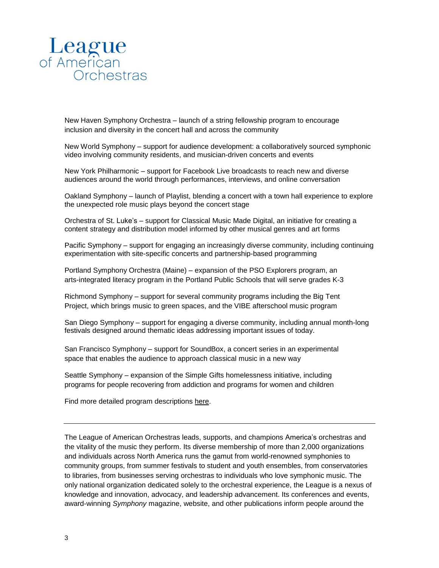

New Haven Symphony Orchestra – launch of a string fellowship program to encourage inclusion and diversity in the concert hall and across the community

New World Symphony – support for audience development: a collaboratively sourced symphonic video involving community residents, and musician-driven concerts and events

New York Philharmonic – support for Facebook Live broadcasts to reach new and diverse audiences around the world through performances, interviews, and online conversation

Oakland Symphony – launch of Playlist, blending a concert with a town hall experience to explore the unexpected role music plays beyond the concert stage

Orchestra of St. Luke's – support for Classical Music Made Digital, an initiative for creating a content strategy and distribution model informed by other musical genres and art forms

Pacific Symphony – support for engaging an increasingly diverse community, including continuing experimentation with site-specific concerts and partnership-based programming

Portland Symphony Orchestra (Maine) – expansion of the PSO Explorers program, an arts-integrated literacy program in the Portland Public Schools that will serve grades K-3

Richmond Symphony – support for several community programs including the Big Tent Project, which brings music to green spaces, and the VIBE afterschool music program

San Diego Symphony – support for engaging a diverse community, including annual month-long festivals designed around thematic ideas addressing important issues of today.

San Francisco Symphony – support for SoundBox, a concert series in an experimental space that enables the audience to approach classical music in a new way

Seattle Symphony – expansion of the Simple Gifts homelessness initiative, including programs for people recovering from addiction and programs for women and children

Find more detailed program descriptions [here.](http://www.americanorchestras.org/images/stories/Futures_Fund_Grantee_Work_Summary.pdf)

The League of American Orchestras leads, supports, and champions America's orchestras and the vitality of the music they perform. Its diverse membership of more than 2,000 organizations and individuals across North America runs the gamut from world-renowned symphonies to community groups, from summer festivals to student and youth ensembles, from conservatories to libraries, from businesses serving orchestras to individuals who love symphonic music. The only national organization dedicated solely to the orchestral experience, the League is a nexus of knowledge and innovation, advocacy, and leadership advancement. Its conferences and events, award-winning *Symphony* magazine, website, and other publications inform people around the